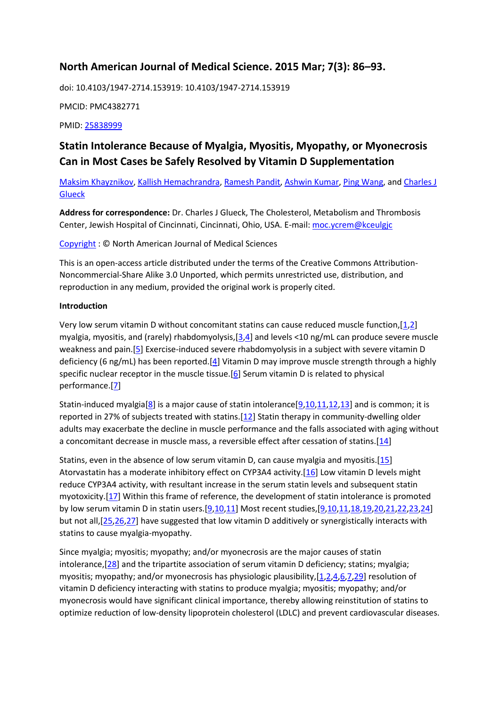# **North American Journal of Medical Science. 2015 Mar; 7(3): 86–93.**

doi: 10.4103/1947-2714.153919: 10.4103/1947-2714.153919

PMCID: PMC4382771

PMID: [25838999](https://www.ncbi.nlm.nih.gov/pmc/articles/PMC4382771/)

# **Statin Intolerance Because of Myalgia, Myositis, Myopathy, or Myonecrosis Can in Most Cases be Safely Resolved by Vitamin D Supplementation**

[Maksim Khayznikov,](https://www.ncbi.nlm.nih.gov/pubmed/?term=Khayznikov%20M%5BAuthor%5D&cauthor=true&cauthor_uid=25838999) [Kallish Hemachrandra,](https://www.ncbi.nlm.nih.gov/pubmed/?term=Hemachrandra%20K%5BAuthor%5D&cauthor=true&cauthor_uid=25838999) [Ramesh Pandit,](https://www.ncbi.nlm.nih.gov/pmc/articles/PMC4382771/?term=Pandit%20R%5BAuthor%5D&cauthor=true&cauthor_uid=25838999) [Ashwin Kumar,](https://www.ncbi.nlm.nih.gov/pmc/articles/PMC4382771/?term=Kumar%20A%5BAuthor%5D&cauthor=true&cauthor_uid=25838999) [Ping Wang,](https://www.ncbi.nlm.nih.gov/pmc/articles/PMC4382771/?term=Wang%20P%5BAuthor%5D&cauthor=true&cauthor_uid=25838999) and [Charles J](https://www.ncbi.nlm.nih.gov/pmc/articles/PMC4382771/?term=Glueck%20CJ%5BAuthor%5D&cauthor=true&cauthor_uid=25838999)  **[Glueck](https://www.ncbi.nlm.nih.gov/pmc/articles/PMC4382771/?term=Glueck%20CJ%5BAuthor%5D&cauthor=true&cauthor_uid=25838999)** 

**Address for correspondence:** Dr. Charles J Glueck, The Cholesterol, Metabolism and Thrombosis Center, Jewish Hospital of Cincinnati, Cincinnati, Ohio, USA. E-mail: [moc.ycrem@kceulgjc](https://www.ncbi.nlm.nih.gov/pmc/articles/PMC4382771/)

[Copyright](https://www.ncbi.nlm.nih.gov/pmc/about/copyright/) : © North American Journal of Medical Sciences

This is an open-access article distributed under the terms of the Creative Commons Attribution-Noncommercial-Share Alike 3.0 Unported, which permits unrestricted use, distribution, and reproduction in any medium, provided the original work is properly cited.

### **Introduction**

Very low serum vitamin D without concomitant statins can cause reduced muscle function,[\[1,](https://www.ncbi.nlm.nih.gov/pmc/articles/PMC4382771/?report=printable#ref1)[2\]](https://www.ncbi.nlm.nih.gov/pmc/articles/PMC4382771/?report=printable#ref2) myalgia, myositis, and (rarely) rhabdomyolysis, [\[3,](https://www.ncbi.nlm.nih.gov/pmc/articles/PMC4382771/?report=printable#ref3)[4\]](https://www.ncbi.nlm.nih.gov/pmc/articles/PMC4382771/?report=printable#ref4) and levels <10 ng/mL can produce severe muscle weakness and pain.[\[5\]](https://www.ncbi.nlm.nih.gov/pmc/articles/PMC4382771/?report=printable#ref5) Exercise-induced severe rhabdomyolysis in a subject with severe vitamin D deficiency (6 ng/mL) has been reported.[\[4\]](https://www.ncbi.nlm.nih.gov/pmc/articles/PMC4382771/?report=printable#ref4) Vitamin D may improve muscle strength through a highly specific nuclear receptor in the muscle tissue.[\[6\]](https://www.ncbi.nlm.nih.gov/pmc/articles/PMC4382771/?report=printable#ref6) Serum vitamin D is related to physical performance.[\[7\]](https://www.ncbi.nlm.nih.gov/pmc/articles/PMC4382771/?report=printable#ref7)

Statin-induced myalgia[\[8\]](https://www.ncbi.nlm.nih.gov/pmc/articles/PMC4382771/?report=printable#ref8) is a major cause of statin intolerance[ $9,10,11,12,13$  $9,10,11,12,13$  $9,10,11,12,13$  $9,10,11,12,13$  $9,10,11,12,13$ ] and is common; it is reported in 27% of subjects treated with statins.[\[12\]](https://www.ncbi.nlm.nih.gov/pmc/articles/PMC4382771/?report=printable#ref12) Statin therapy in community-dwelling older adults may exacerbate the decline in muscle performance and the falls associated with aging without a concomitant decrease in muscle mass, a reversible effect after cessation of statins.[\[14\]](https://www.ncbi.nlm.nih.gov/pmc/articles/PMC4382771/?report=printable#ref14)

Statins, even in the absence of low serum vitamin D, can cause myalgia and myositis.[\[15\]](https://www.ncbi.nlm.nih.gov/pmc/articles/PMC4382771/table/T1/?report=printable#ref15) Atorvastatin has a moderate inhibitory effect on CYP3A4 activity.[\[16\]](https://www.ncbi.nlm.nih.gov/pmc/articles/PMC4382771/?report=printable#ref16) Low vitamin D levels might reduce CYP3A4 activity, with resultant increase in the serum statin levels and subsequent statin myotoxicity.[\[17\]](https://www.ncbi.nlm.nih.gov/pmc/articles/PMC4382771/?report=printable#ref17) Within this frame of reference, the development of statin intolerance is promoted by low serum vitamin D in statin users.[\[9](https://www.ncbi.nlm.nih.gov/pmc/articles/PMC4382771/?report=printable#ref9)[,10](https://www.ncbi.nlm.nih.gov/pmc/articles/PMC4382771/?report=printable#ref10)[,11\]](https://www.ncbi.nlm.nih.gov/pmc/articles/PMC4382771/?report=printable#ref11) Most recent studies,[\[9](https://www.ncbi.nlm.nih.gov/pmc/articles/PMC4382771/?report=printable#ref9)[,10](https://www.ncbi.nlm.nih.gov/pmc/articles/PMC4382771/?report=printable#ref10)[,11](https://www.ncbi.nlm.nih.gov/pmc/articles/PMC4382771/table/T1/?report=printable#ref11)[,18](https://www.ncbi.nlm.nih.gov/pmc/articles/PMC4382771/?report=printable#ref18)[,19](https://www.ncbi.nlm.nih.gov/pmc/articles/PMC4382771/table/T1/?report=printable#ref19)[,20](https://www.ncbi.nlm.nih.gov/pmc/articles/PMC4382771/table/T2/?report=printable#ref20)[,21,](https://www.ncbi.nlm.nih.gov/pubmed/?report=printable#ref21)[22](https://www.ncbi.nlm.nih.gov/pmc/articles/PMC4382771/?report=printable#ref22)[,23](https://www.ncbi.nlm.nih.gov/pmc/articles/PMC4382771/?report=printable#ref23)[,24\]](https://www.ncbi.nlm.nih.gov/pmc/articles/PMC4382771/?report=printable#ref24) but not all,[\[25](https://www.ncbi.nlm.nih.gov/pmc/articles/PMC4382771/?report=printable#ref25)[,26](https://www.ncbi.nlm.nih.gov/pmc/articles/PMC4382771/?report=printable#ref26)[,27\]](https://www.ncbi.nlm.nih.gov/pmc/articles/PMC4382771/table/T2/?report=printable#ref27) have suggested that low vitamin D additively or synergistically interacts with statins to cause myalgia-myopathy.

Since myalgia; myositis; myopathy; and/or myonecrosis are the major causes of statin intolerance,[\[28\]](https://www.ncbi.nlm.nih.gov/pmc/articles/PMC4382771/?report=printable#ref28) and the tripartite association of serum vitamin D deficiency; statins; myalgia; myositis; myopathy; and/or myonecrosis has physiologic plausibility,[\[1](https://www.ncbi.nlm.nih.gov/pmc/articles/PMC4382771/?report=printable#ref1)[,2](https://www.ncbi.nlm.nih.gov/pmc/articles/PMC4382771/?report=printable#ref2)[,4,](https://www.ncbi.nlm.nih.gov/pmc/articles/PMC4382771/?report=printable#ref4)[6](https://www.ncbi.nlm.nih.gov/pmc/articles/PMC4382771/?report=printable#ref6)[,7](https://www.ncbi.nlm.nih.gov/pmc/articles/PMC4382771/?report=printable#ref7)[,29\]](https://www.ncbi.nlm.nih.gov/pmc/articles/PMC4382771/?report=printable#ref29) resolution of vitamin D deficiency interacting with statins to produce myalgia; myositis; myopathy; and/or myonecrosis would have significant clinical importance, thereby allowing reinstitution of statins to optimize reduction of low-density lipoprotein cholesterol (LDLC) and prevent cardiovascular diseases.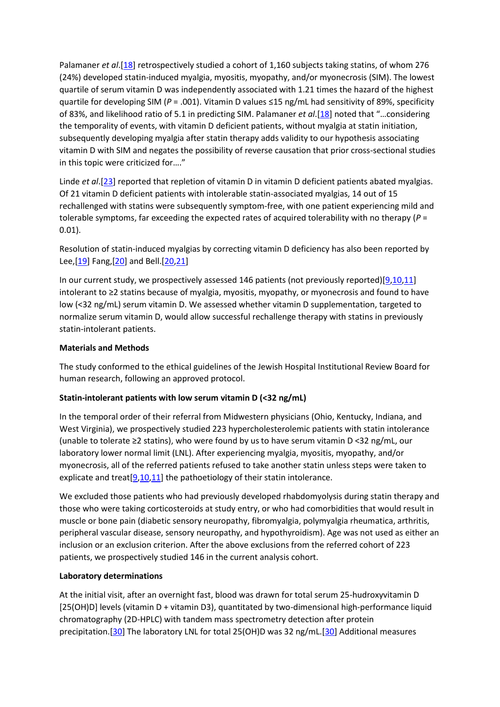Palamaner *et al*.[\[18\]](https://www.ncbi.nlm.nih.gov/pmc/articles/PMC4382771/?report=printable#ref18) retrospectively studied a cohort of 1,160 subjects taking statins, of whom 276 (24%) developed statin-induced myalgia, myositis, myopathy, and/or myonecrosis (SIM). The lowest quartile of serum vitamin D was independently associated with 1.21 times the hazard of the highest quartile for developing SIM (*P* = .001). Vitamin D values ≤15 ng/mL had sensitivity of 89%, specificity of 83%, and likelihood ratio of 5.1 in predicting SIM. Palamaner *et al*.[\[18](https://www.ncbi.nlm.nih.gov/pmc/articles/PMC4382771/?report=printable#ref18)] noted that "…considering the temporality of events, with vitamin D deficient patients, without myalgia at statin initiation, subsequently developing myalgia after statin therapy adds validity to our hypothesis associating vitamin D with SIM and negates the possibility of reverse causation that prior cross-sectional studies in this topic were criticized for…."

Linde *et al.*[\[23\]](https://www.ncbi.nlm.nih.gov/pmc/articles/PMC4382771/table/T1/?report=printable#ref23) reported that repletion of vitamin D in vitamin D deficient patients abated myalgias. Of 21 vitamin D deficient patients with intolerable statin-associated myalgias, 14 out of 15 rechallenged with statins were subsequently symptom-free, with one patient experiencing mild and tolerable symptoms, far exceeding the expected rates of acquired tolerability with no therapy (*P* = 0.01).

Resolution of statin-induced myalgias by correcting vitamin D deficiency has also been reported by Lee,[\[19\]](https://www.ncbi.nlm.nih.gov/pmc/articles/PMC4382771/table/T2/?report=printable#ref19) Fang,[\[20\]](https://www.ncbi.nlm.nih.gov/pmc/articles/PMC4382771/table/T1/?report=printable#ref20) and Bell.[\[20](https://www.ncbi.nlm.nih.gov/pmc/articles/PMC4382771/?report=printable#ref20)[,21\]](https://www.ncbi.nlm.nih.gov/pmc/articles/PMC4382771/?report=printable#ref21)

In our current study, we prospectively assessed 146 patients (not previously reported)[\[9,](https://www.ncbi.nlm.nih.gov/pmc/articles/PMC4382771/table/T1/?report=printable#ref9)[10,](https://www.ncbi.nlm.nih.gov/pmc/articles/PMC4382771/?report=printable#ref10)[11\]](https://www.ncbi.nlm.nih.gov/pmc/articles/PMC4382771/?report=printable#ref11) intolerant to ≥2 statins because of myalgia, myositis, myopathy, or myonecrosis and found to have low (<32 ng/mL) serum vitamin D. We assessed whether vitamin D supplementation, targeted to normalize serum vitamin D, would allow successful rechallenge therapy with statins in previously statin-intolerant patients.

### **Materials and Methods**

The study conformed to the ethical guidelines of the Jewish Hospital Institutional Review Board for human research, following an approved protocol.

# **Statin-intolerant patients with low serum vitamin D (<32 ng/mL)**

In the temporal order of their referral from Midwestern physicians (Ohio, Kentucky, Indiana, and West Virginia), we prospectively studied 223 hypercholesterolemic patients with statin intolerance (unable to tolerate ≥2 statins), who were found by us to have serum vitamin D <32 ng/mL, our laboratory lower normal limit (LNL). After experiencing myalgia, myositis, myopathy, and/or myonecrosis, all of the referred patients refused to take another statin unless steps were taken to explicate and treat  $[9,10,11]$  $[9,10,11]$  $[9,10,11]$  the pathoetiology of their statin intolerance.

We excluded those patients who had previously developed rhabdomyolysis during statin therapy and those who were taking corticosteroids at study entry, or who had comorbidities that would result in muscle or bone pain (diabetic sensory neuropathy, fibromyalgia, polymyalgia rheumatica, arthritis, peripheral vascular disease, sensory neuropathy, and hypothyroidism). Age was not used as either an inclusion or an exclusion criterion. After the above exclusions from the referred cohort of 223 patients, we prospectively studied 146 in the current analysis cohort.

# **Laboratory determinations**

At the initial visit, after an overnight fast, blood was drawn for total serum 25-hudroxyvitamin D [25(OH)D] levels (vitamin D + vitamin D3), quantitated by two-dimensional high-performance liquid chromatography (2D-HPLC) with tandem mass spectrometry detection after protein precipitation.[\[30\]](https://www.ncbi.nlm.nih.gov/pmc/articles/PMC4382771/?report=printable#ref30) The laboratory LNL for total 25(OH)D was 32 ng/mL.[\[30\]](https://www.ncbi.nlm.nih.gov/pmc/articles/PMC4382771/?report=printable#ref30) Additional measures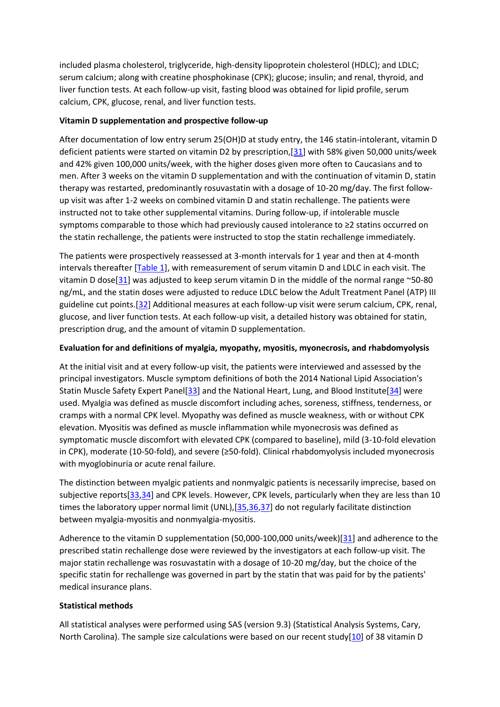included plasma cholesterol, triglyceride, high-density lipoprotein cholesterol (HDLC); and LDLC; serum calcium; along with creatine phosphokinase (CPK); glucose; insulin; and renal, thyroid, and liver function tests. At each follow-up visit, fasting blood was obtained for lipid profile, serum calcium, CPK, glucose, renal, and liver function tests.

## **Vitamin D supplementation and prospective follow-up**

After documentation of low entry serum 25(OH)D at study entry, the 146 statin-intolerant, vitamin D deficient patients were started on vitamin D2 by prescription,[\[31\]](https://www.ncbi.nlm.nih.gov/pmc/articles/PMC4382771/?report=printable#ref31) with 58% given 50,000 units/week and 42% given 100,000 units/week, with the higher doses given more often to Caucasians and to men. After 3 weeks on the vitamin D supplementation and with the continuation of vitamin D, statin therapy was restarted, predominantly rosuvastatin with a dosage of 10-20 mg/day. The first followup visit was after 1-2 weeks on combined vitamin D and statin rechallenge. The patients were instructed not to take other supplemental vitamins. During follow-up, if intolerable muscle symptoms comparable to those which had previously caused intolerance to ≥2 statins occurred on the statin rechallenge, the patients were instructed to stop the statin rechallenge immediately.

The patients were prospectively reassessed at 3-month intervals for 1 year and then at 4-month intervals thereafter [\[Table 1\]](https://www.ncbi.nlm.nih.gov/pmc/articles/PMC4382771/), with remeasurement of serum vitamin D and LDLC in each visit. The vitamin D dose[\[31\]](https://www.ncbi.nlm.nih.gov/pmc/articles/PMC4382771/?report=printable#ref31) was adjusted to keep serum vitamin D in the middle of the normal range  $\sim$  50-80 ng/mL, and the statin doses were adjusted to reduce LDLC below the Adult Treatment Panel (ATP) III guideline cut points.[\[32\]](https://www.ncbi.nlm.nih.gov/pmc/articles/PMC4382771/?report=printable#ref32) Additional measures at each follow-up visit were serum calcium, CPK, renal, glucose, and liver function tests. At each follow-up visit, a detailed history was obtained for statin, prescription drug, and the amount of vitamin D supplementation.

# **Evaluation for and definitions of myalgia, myopathy, myositis, myonecrosis, and rhabdomyolysis**

At the initial visit and at every follow-up visit, the patients were interviewed and assessed by the principal investigators. Muscle symptom definitions of both the 2014 National Lipid Association's Statin Muscle Safety Expert Panel[\[33\]](https://www.ncbi.nlm.nih.gov/pmc/articles/PMC4382771/?report=printable#ref33) and the National Heart, Lung, and Blood Institute[\[34\]](https://www.ncbi.nlm.nih.gov/pmc/articles/PMC4382771/?report=printable#ref34) were used. Myalgia was defined as muscle discomfort including aches, soreness, stiffness, tenderness, or cramps with a normal CPK level. Myopathy was defined as muscle weakness, with or without CPK elevation. Myositis was defined as muscle inflammation while myonecrosis was defined as symptomatic muscle discomfort with elevated CPK (compared to baseline), mild (3-10-fold elevation in CPK), moderate (10-50-fold), and severe (≥50-fold). Clinical rhabdomyolysis included myonecrosis with myoglobinuria or acute renal failure.

The distinction between myalgic patients and nonmyalgic patients is necessarily imprecise, based on subjective reports[\[33](https://www.ncbi.nlm.nih.gov/pmc/articles/PMC4382771/?report=printable#ref33)[,34\]](https://www.ncbi.nlm.nih.gov/pmc/articles/PMC4382771/?report=printable#ref34) and CPK levels. However, CPK levels, particularly when they are less than 10 times the laboratory upper normal limit (UNL), [\[35](https://www.ncbi.nlm.nih.gov/pmc/articles/PMC4382771/?report=printable#ref35)[,36](https://www.ncbi.nlm.nih.gov/pmc/articles/PMC4382771/?report=printable#ref36)[,37\]](https://www.ncbi.nlm.nih.gov/pmc/articles/PMC4382771/?report=printable#ref37) do not regularly facilitate distinction between myalgia-myositis and nonmyalgia-myositis.

Adherence to the vitamin D supplementation (50,000-100,000 units/week)[\[31\]](https://www.ncbi.nlm.nih.gov/pmc/articles/PMC4382771/?report=printable#ref31) and adherence to the prescribed statin rechallenge dose were reviewed by the investigators at each follow-up visit. The major statin rechallenge was rosuvastatin with a dosage of 10-20 mg/day, but the choice of the specific statin for rechallenge was governed in part by the statin that was paid for by the patients' medical insurance plans.

# **Statistical methods**

All statistical analyses were performed using SAS (version 9.3) (Statistical Analysis Systems, Cary, North Carolina). The sample size calculations were based on our recent study $[10]$  of 38 vitamin D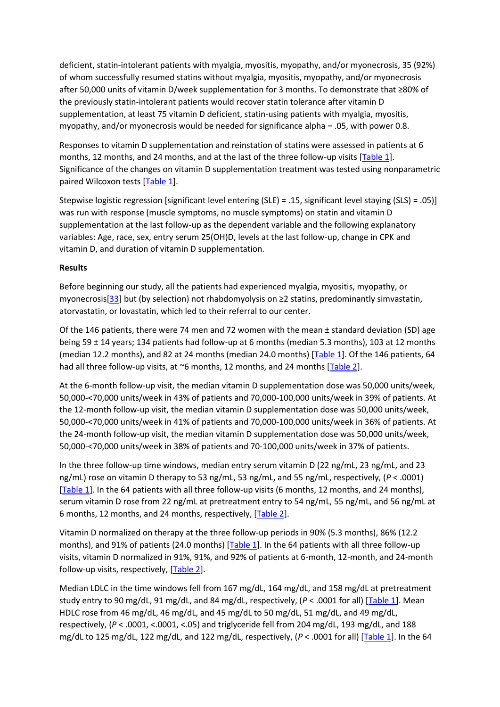deficient, statin-intolerant patients with myalgia, myositis, myopathy, and/or myonecrosis, 35 (92%) of whom successfully resumed statins without myalgia, myositis, myopathy, and/or myonecrosis after 50,000 units of vitamin D/week supplementation for 3 months. To demonstrate that ≥80% of the previously statin-intolerant patients would recover statin tolerance after vitamin D supplementation, at least 75 vitamin D deficient, statin-using patients with myalgia, myositis, myopathy, and/or myonecrosis would be needed for significance alpha = .05, with power 0.8.

Responses to vitamin D supplementation and reinstation of statins were assessed in patients at 6 months, 12 months, and 24 months, and at the last of the three follow-up visits [\[Table 1\]](https://www.ncbi.nlm.nih.gov/pmc/articles/PMC4382771/). Significance of the changes on vitamin D supplementation treatment was tested using nonparametric paired Wilcoxon tests [\[Table 1\]](https://www.ncbi.nlm.nih.gov/pmc/articles/PMC4382771/).

Stepwise logistic regression [significant level entering (SLE) = .15, significant level staying (SLS) = .05)] was run with response (muscle symptoms, no muscle symptoms) on statin and vitamin D supplementation at the last follow-up as the dependent variable and the following explanatory variables: Age, race, sex, entry serum 25(OH)D, levels at the last follow-up, change in CPK and vitamin D, and duration of vitamin D supplementation.

### **Results**

Before beginning our study, all the patients had experienced myalgia, myositis, myopathy, or myonecrosis[\[33](https://www.ncbi.nlm.nih.gov/pmc/articles/PMC4382771/?report=printable#ref33)] but (by selection) not rhabdomyolysis on ≥2 statins, predominantly simvastatin, atorvastatin, or lovastatin, which led to their referral to our center.

Of the 146 patients, there were 74 men and 72 women with the mean ± standard deviation (SD) age being 59 ± 14 years; 134 patients had follow-up at 6 months (median 5.3 months), 103 at 12 months (median 12.2 months), and 82 at 24 months (median 24.0 months) [\[Table 1\]](https://www.ncbi.nlm.nih.gov/pmc/articles/PMC4382771/). Of the 146 patients, 64 had all three follow-up visits, at  $\sim$ 6 months, 12 months, and 24 months [\[Table 2\]](https://www.ncbi.nlm.nih.gov/pmc/articles/PMC4382771/).

At the 6-month follow-up visit, the median vitamin D supplementation dose was 50,000 units/week, 50,000-<70,000 units/week in 43% of patients and 70,000-100,000 units/week in 39% of patients. At the 12-month follow-up visit, the median vitamin D supplementation dose was 50,000 units/week, 50,000-<70,000 units/week in 41% of patients and 70,000-100,000 units/week in 36% of patients. At the 24-month follow-up visit, the median vitamin D supplementation dose was 50,000 units/week, 50,000-<70,000 units/week in 38% of patients and 70-100,000 units/week in 37% of patients.

In the three follow-up time windows, median entry serum vitamin D (22 ng/mL, 23 ng/mL, and 23 ng/mL) rose on vitamin D therapy to 53 ng/mL, 53 ng/mL, and 55 ng/mL, respectively, (*P* < .0001) [\[Table 1\]](https://www.ncbi.nlm.nih.gov/pmc/articles/PMC4382771/). In the 64 patients with all three follow-up visits (6 months, 12 months, and 24 months), serum vitamin D rose from 22 ng/mL at pretreatment entry to 54 ng/mL, 55 ng/mL, and 56 ng/mL at 6 months, 12 months, and 24 months, respectively, [\[Table 2\]](https://www.ncbi.nlm.nih.gov/pmc/articles/PMC4382771/).

Vitamin D normalized on therapy at the three follow-up periods in 90% (5.3 months), 86% (12.2 months), and 91% of patients (24.0 months) [\[Table 1\]](https://www.ncbi.nlm.nih.gov/pubmed/25838999). In the 64 patients with all three follow-up visits, vitamin D normalized in 91%, 91%, and 92% of patients at 6-month, 12-month, and 24-month follow-up visits, respectively, [\[Table 2\]](https://www.ncbi.nlm.nih.gov/pmc/articles/PMC4382771/).

Median LDLC in the time windows fell from 167 mg/dL, 164 mg/dL, and 158 mg/dL at pretreatment study entry to 90 mg/dL, 91 mg/dL, and 84 mg/dL, respectively, (*P* < .0001 for all) [\[Table 1\]](https://www.ncbi.nlm.nih.gov/pmc/articles/PMC4382771/). Mean HDLC rose from 46 mg/dL, 46 mg/dL, and 45 mg/dL to 50 mg/dL, 51 mg/dL, and 49 mg/dL, respectively, (*P* < .0001, <.0001, <.05) and triglyceride fell from 204 mg/dL, 193 mg/dL, and 188 mg/dL to 125 mg/dL, 122 mg/dL, and 122 mg/dL, respectively, (*P* < .0001 for all) [\[Table 1\]](https://www.ncbi.nlm.nih.gov/pmc/articles/PMC4382771/). In the 64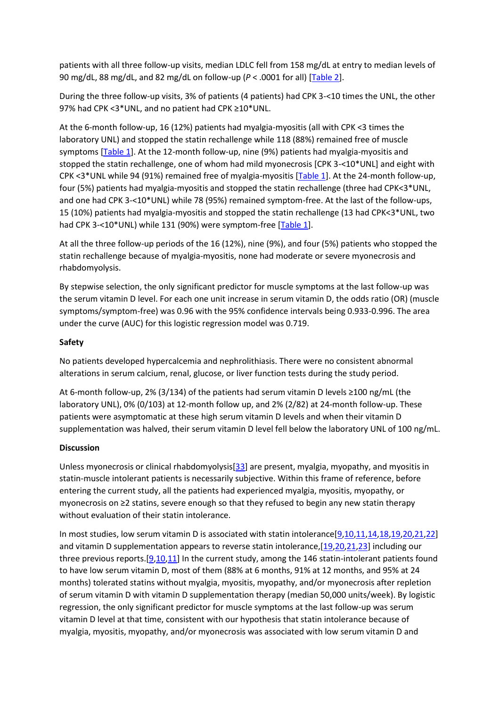patients with all three follow-up visits, median LDLC fell from 158 mg/dL at entry to median levels of 90 mg/dL, 88 mg/dL, and 82 mg/dL on follow-up (*P* < .0001 for all) [\[Table 2\]](https://www.ncbi.nlm.nih.gov/pmc/articles/PMC4382771/).

During the three follow-up visits, 3% of patients (4 patients) had CPK 3-<10 times the UNL, the other 97% had CPK <3\*UNL, and no patient had CPK ≥10\*UNL.

At the 6-month follow-up, 16 (12%) patients had myalgia-myositis (all with CPK <3 times the laboratory UNL) and stopped the statin rechallenge while 118 (88%) remained free of muscle symptoms [\[Table 1\]](mailto:dev@null). At the 12-month follow-up, nine (9%) patients had myalgia-myositis and stopped the statin rechallenge, one of whom had mild myonecrosis [CPK 3-<10\*UNL] and eight with CPK <3\*UNL while 94 (91%) remained free of myalgia-myositis [\[Table 1\]](https://www.ncbi.nlm.nih.gov/pmc/articles/PMC4382771/table/T1/). At the 24-month follow-up, four (5%) patients had myalgia-myositis and stopped the statin rechallenge (three had CPK<3\*UNL, and one had CPK 3-<10\*UNL) while 78 (95%) remained symptom-free. At the last of the follow-ups, 15 (10%) patients had myalgia-myositis and stopped the statin rechallenge (13 had CPK<3\*UNL, two had CPK 3-<10\*UNL) while 131 (90%) were symptom-free [\[Table 1\]](https://www.ncbi.nlm.nih.gov/pmc/articles/PMC4382771/).

At all the three follow-up periods of the 16 (12%), nine (9%), and four (5%) patients who stopped the statin rechallenge because of myalgia-myositis, none had moderate or severe myonecrosis and rhabdomyolysis.

By stepwise selection, the only significant predictor for muscle symptoms at the last follow-up was the serum vitamin D level. For each one unit increase in serum vitamin D, the odds ratio (OR) (muscle symptoms/symptom-free) was 0.96 with the 95% confidence intervals being 0.933-0.996. The area under the curve (AUC) for this logistic regression model was 0.719.

# **Safety**

No patients developed hypercalcemia and nephrolithiasis. There were no consistent abnormal alterations in serum calcium, renal, glucose, or liver function tests during the study period.

At 6-month follow-up, 2% (3/134) of the patients had serum vitamin D levels ≥100 ng/mL (the laboratory UNL), 0% (0/103) at 12-month follow up, and 2% (2/82) at 24-month follow-up. These patients were asymptomatic at these high serum vitamin D levels and when their vitamin D supplementation was halved, their serum vitamin D level fell below the laboratory UNL of 100 ng/mL.

# **Discussion**

Unless myonecrosis or clinical rhabdomyolysis[\[33\]](https://www.ncbi.nlm.nih.gov/pmc/articles/PMC4382771/?report=printable#ref33) are present, myalgia, myopathy, and myositis in statin-muscle intolerant patients is necessarily subjective. Within this frame of reference, before entering the current study, all the patients had experienced myalgia, myositis, myopathy, or myonecrosis on ≥2 statins, severe enough so that they refused to begin any new statin therapy without evaluation of their statin intolerance.

In most studies, low serum vitamin D is associated with statin intolerance[\[9,](https://www.ncbi.nlm.nih.gov/pmc/articles/PMC4382771/?report=printable#ref9)[10](https://www.ncbi.nlm.nih.gov/pmc/articles/PMC4382771/?report=printable#ref10)[,11](https://www.ncbi.nlm.nih.gov/pmc/articles/PMC4382771/?report=printable#ref11)[,14](https://www.ncbi.nlm.nih.gov/pmc/articles/PMC4382771/?report=printable#ref14)[,18](https://www.ncbi.nlm.nih.gov/pmc/articles/PMC4382771/?report=printable#ref18)[,19](https://www.ncbi.nlm.nih.gov/pmc/articles/PMC4382771/?report=printable#ref19)[,20](https://www.ncbi.nlm.nih.gov/pmc/articles/PMC4382771/?report=printable#ref20)[,21](https://www.ncbi.nlm.nih.gov/pmc/articles/PMC4382771/?report=printable#ref21)[,22\]](https://www.ncbi.nlm.nih.gov/pmc/articles/PMC4382771/?report=printable#ref22) and vitamin D supplementation appears to reverse statin intolerance, [\[19](https://www.ncbi.nlm.nih.gov/pmc/articles/PMC4382771/?report=printable#ref19)[,20,](https://www.ncbi.nlm.nih.gov/pmc/articles/PMC4382771/?report=printable#ref20)[21](https://www.ncbi.nlm.nih.gov/pmc/articles/PMC4382771/?report=printable#ref21)[,23\]](https://www.ncbi.nlm.nih.gov/pmc/articles/PMC4382771/?report=printable#ref23) including our three previous reports.[\[9](https://www.ncbi.nlm.nih.gov/pmc/articles/PMC4382771/?report=printable#ref9)[,10](https://www.ncbi.nlm.nih.gov/pubmed/?report=printable#ref10)[,11\]](https://www.ncbi.nlm.nih.gov/pmc/articles/PMC4382771/?report=printable#ref11) In the current study, among the 146 statin-intolerant patients found to have low serum vitamin D, most of them (88% at 6 months, 91% at 12 months, and 95% at 24 months) tolerated statins without myalgia, myositis, myopathy, and/or myonecrosis after repletion of serum vitamin D with vitamin D supplementation therapy (median 50,000 units/week). By logistic regression, the only significant predictor for muscle symptoms at the last follow-up was serum vitamin D level at that time, consistent with our hypothesis that statin intolerance because of myalgia, myositis, myopathy, and/or myonecrosis was associated with low serum vitamin D and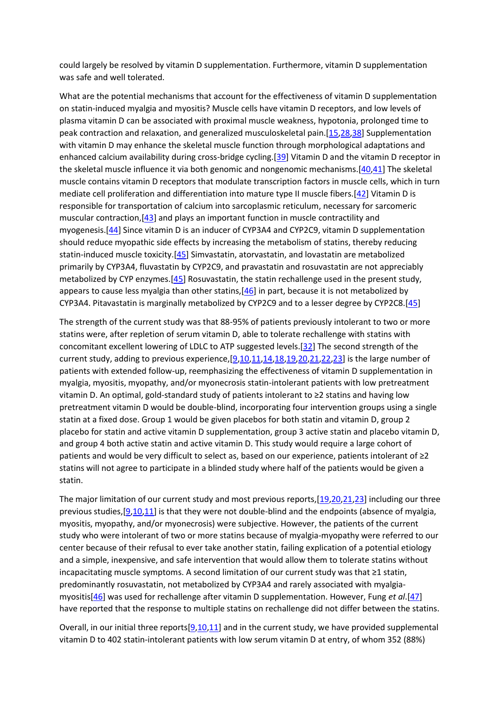could largely be resolved by vitamin D supplementation. Furthermore, vitamin D supplementation was safe and well tolerated.

What are the potential mechanisms that account for the effectiveness of vitamin D supplementation on statin-induced myalgia and myositis? Muscle cells have vitamin D receptors, and low levels of plasma vitamin D can be associated with proximal muscle weakness, hypotonia, prolonged time to peak contraction and relaxation, and generalized musculoskeletal pain.[\[15](https://www.ncbi.nlm.nih.gov/pmc/articles/PMC4382771/?report=printable#ref15)[,28](https://www.ncbi.nlm.nih.gov/pmc/articles/PMC4382771/?report=printable#ref28)[,38\]](https://www.ncbi.nlm.nih.gov/pmc/articles/PMC4382771/?report=printable#ref38) Supplementation with vitamin D may enhance the skeletal muscle function through morphological adaptations and enhanced calcium availability during cross-bridge cycling.[\[39\]](https://www.ncbi.nlm.nih.gov/pmc/articles/PMC4382771/?report=printable#ref39) Vitamin D and the vitamin D receptor in the skeletal muscle influence it via both genomic and nongenomic mechanisms.[\[40,](https://www.ncbi.nlm.nih.gov/pmc/articles/PMC4382771/?report=printable#ref40)[41\]](https://www.ncbi.nlm.nih.gov/pubmed/?report=printable#ref41) The skeletal muscle contains vitamin D receptors that modulate transcription factors in muscle cells, which in turn mediate cell proliferation and differentiation into mature type II muscle fibers.[\[42\]](https://www.ncbi.nlm.nih.gov/pmc/articles/PMC4382771/?report=printable#ref42) Vitamin D is responsible for transportation of calcium into sarcoplasmic reticulum, necessary for sarcomeric muscular contraction,[\[43\]](https://www.ncbi.nlm.nih.gov/pubmed/?report=printable#ref43) and plays an important function in muscle contractility and myogenesis.[\[44\]](https://www.ncbi.nlm.nih.gov/pmc/articles/PMC4382771/?report=printable#ref44) Since vitamin D is an inducer of CYP3A4 and CYP2C9, vitamin D supplementation should reduce myopathic side effects by increasing the metabolism of statins, thereby reducing statin-induced muscle toxicity.[\[45\]](https://www.ncbi.nlm.nih.gov/pmc/articles/PMC4382771/?report=printable#ref45) Simvastatin, atorvastatin, and lovastatin are metabolized primarily by CYP3A4, fluvastatin by CYP2C9, and pravastatin and rosuvastatin are not appreciably metabolized by CYP enzymes. [\[45\]](https://www.ncbi.nlm.nih.gov/pmc/articles/PMC4382771/?report=printable#ref45) Rosuvastatin, the statin rechallenge used in the present study, appears to cause less myalgia than other statins, $[46]$  in part, because it is not metabolized by CYP3A4. Pitavastatin is marginally metabolized by CYP2C9 and to a lesser degree by CYP2C8.[\[45\]](https://www.ncbi.nlm.nih.gov/pmc/articles/PMC4382771/?report=printable#ref45)

The strength of the current study was that 88-95% of patients previously intolerant to two or more statins were, after repletion of serum vitamin D, able to tolerate rechallenge with statins with concomitant excellent lowering of LDLC to ATP suggested levels.[\[32\]](https://www.ncbi.nlm.nih.gov/pmc/articles/PMC4382771/?report=printable#ref32) The second strength of the current study, adding to previous experience, [\[9](https://www.ncbi.nlm.nih.gov/pmc/articles/PMC4382771/?report=printable#ref9)[,10](https://www.ncbi.nlm.nih.gov/pmc/articles/PMC4382771/?report=printable#ref10)[,11,](https://www.ncbi.nlm.nih.gov/pmc/articles/PMC4382771/?report=printable#ref11)[14,](https://www.ncbi.nlm.nih.gov/pmc/articles/PMC4382771/?report=printable#ref14)[18,](https://www.ncbi.nlm.nih.gov/pmc/articles/PMC4382771/?report=printable#ref18)[19](https://www.ncbi.nlm.nih.gov/pmc/articles/PMC4382771/?report=printable#ref19)[,20](https://www.ncbi.nlm.nih.gov/pmc/articles/PMC4382771/table/T2/?report=printable#ref20)[,21,](https://www.ncbi.nlm.nih.gov/pmc/articles/PMC4382771/?report=printable#ref21)[22](https://www.ncbi.nlm.nih.gov/pmc/articles/PMC4382771/?report=printable#ref22)[,23\]](https://www.ncbi.nlm.nih.gov/pmc/articles/PMC4382771/?report=printable#ref23) is the large number of patients with extended follow-up, reemphasizing the effectiveness of vitamin D supplementation in myalgia, myositis, myopathy, and/or myonecrosis statin-intolerant patients with low pretreatment vitamin D. An optimal, gold-standard study of patients intolerant to ≥2 statins and having low pretreatment vitamin D would be double-blind, incorporating four intervention groups using a single statin at a fixed dose. Group 1 would be given placebos for both statin and vitamin D, group 2 placebo for statin and active vitamin D supplementation, group 3 active statin and placebo vitamin D, and group 4 both active statin and active vitamin D. This study would require a large cohort of patients and would be very difficult to select as, based on our experience, patients intolerant of ≥2 statins will not agree to participate in a blinded study where half of the patients would be given a statin.

The major limitation of our current study and most previous reports,[\[19](https://www.ncbi.nlm.nih.gov/pmc/articles/PMC4382771/?report=printable#ref19)[,20](https://www.ncbi.nlm.nih.gov/pmc/articles/PMC4382771/?report=printable#ref20)[,21](https://www.ncbi.nlm.nih.gov/pmc/articles/PMC4382771/?report=printable#ref21)[,23\]](https://www.ncbi.nlm.nih.gov/pmc/articles/PMC4382771/?report=printable#ref23) including our three previous studies,[\[9,](https://www.ncbi.nlm.nih.gov/pmc/articles/PMC4382771/?report=printable#ref9)[10](https://www.ncbi.nlm.nih.gov/pmc/articles/PMC4382771/?report=printable#ref10)[,11\]](https://www.ncbi.nlm.nih.gov/pmc/articles/PMC4382771/?report=printable#ref11) is that they were not double-blind and the endpoints (absence of myalgia, myositis, myopathy, and/or myonecrosis) were subjective. However, the patients of the current study who were intolerant of two or more statins because of myalgia-myopathy were referred to our center because of their refusal to ever take another statin, failing explication of a potential etiology and a simple, inexpensive, and safe intervention that would allow them to tolerate statins without incapacitating muscle symptoms. A second limitation of our current study was that ≥1 statin, predominantly rosuvastatin, not metabolized by CYP3A4 and rarely associated with myalgiamyositis[\[46\]](https://www.ncbi.nlm.nih.gov/pmc/articles/PMC4382771/table/T1/?report=printable#ref46) was used for rechallenge after vitamin D supplementation. However, Fung *et al*.[\[47\]](https://www.ncbi.nlm.nih.gov/pmc/articles/PMC4382771/?report=printable#ref47) have reported that the response to multiple statins on rechallenge did not differ between the statins.

Overall, in our initial three reports $[9,10,11]$  $[9,10,11]$  $[9,10,11]$  and in the current study, we have provided supplemental vitamin D to 402 statin-intolerant patients with low serum vitamin D at entry, of whom 352 (88%)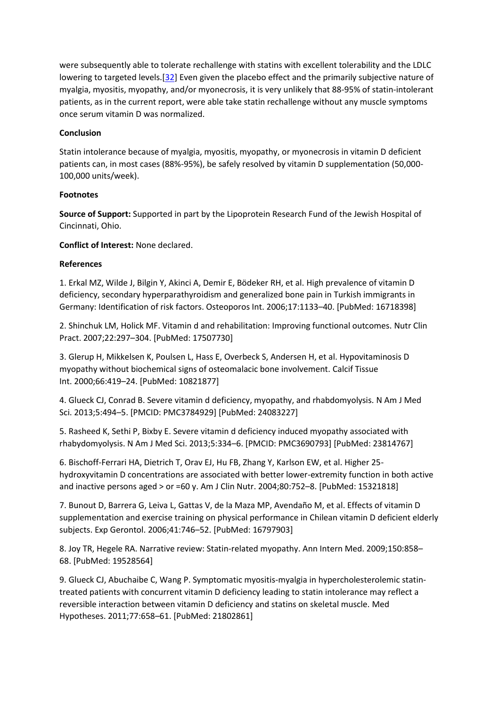were subsequently able to tolerate rechallenge with statins with excellent tolerability and the LDLC lowering to targeted levels.<sup>[\[32\]](https://www.ncbi.nlm.nih.gov/pmc/articles/PMC4382771/?report=printable#ref32)</sup> Even given the placebo effect and the primarily subjective nature of myalgia, myositis, myopathy, and/or myonecrosis, it is very unlikely that 88-95% of statin-intolerant patients, as in the current report, were able take statin rechallenge without any muscle symptoms once serum vitamin D was normalized.

### **Conclusion**

Statin intolerance because of myalgia, myositis, myopathy, or myonecrosis in vitamin D deficient patients can, in most cases (88%-95%), be safely resolved by vitamin D supplementation (50,000- 100,000 units/week).

### **Footnotes**

**Source of Support:** Supported in part by the Lipoprotein Research Fund of the Jewish Hospital of Cincinnati, Ohio.

**Conflict of Interest:** None declared.

### **References**

1. Erkal MZ, Wilde J, Bilgin Y, Akinci A, Demir E, Bödeker RH, et al. High prevalence of vitamin D deficiency, secondary hyperparathyroidism and generalized bone pain in Turkish immigrants in Germany: Identification of risk factors. Osteoporos Int. 2006;17:1133–40. [PubMed: 16718398]

2. Shinchuk LM, Holick MF. Vitamin d and rehabilitation: Improving functional outcomes. Nutr Clin Pract. 2007;22:297–304. [PubMed: 17507730]

3. Glerup H, Mikkelsen K, Poulsen L, Hass E, Overbeck S, Andersen H, et al. Hypovitaminosis D myopathy without biochemical signs of osteomalacic bone involvement. Calcif Tissue Int. 2000;66:419–24. [PubMed: 10821877]

4. Glueck CJ, Conrad B. Severe vitamin d deficiency, myopathy, and rhabdomyolysis. N Am J Med Sci. 2013;5:494–5. [PMCID: PMC3784929] [PubMed: 24083227]

5. Rasheed K, Sethi P, Bixby E. Severe vitamin d deficiency induced myopathy associated with rhabydomyolysis. N Am J Med Sci. 2013;5:334–6. [PMCID: PMC3690793] [PubMed: 23814767]

6. Bischoff-Ferrari HA, Dietrich T, Orav EJ, Hu FB, Zhang Y, Karlson EW, et al. Higher 25 hydroxyvitamin D concentrations are associated with better lower-extremity function in both active and inactive persons aged > or =60 y. Am J Clin Nutr. 2004;80:752–8. [PubMed: 15321818]

7. Bunout D, Barrera G, Leiva L, Gattas V, de la Maza MP, Avendaño M, et al. Effects of vitamin D supplementation and exercise training on physical performance in Chilean vitamin D deficient elderly subjects. Exp Gerontol. 2006;41:746–52. [PubMed: 16797903]

8. Joy TR, Hegele RA. Narrative review: Statin-related myopathy. Ann Intern Med. 2009;150:858– 68. [PubMed: 19528564]

9. Glueck CJ, Abuchaibe C, Wang P. Symptomatic myositis-myalgia in hypercholesterolemic statintreated patients with concurrent vitamin D deficiency leading to statin intolerance may reflect a reversible interaction between vitamin D deficiency and statins on skeletal muscle. Med Hypotheses. 2011;77:658–61. [PubMed: 21802861]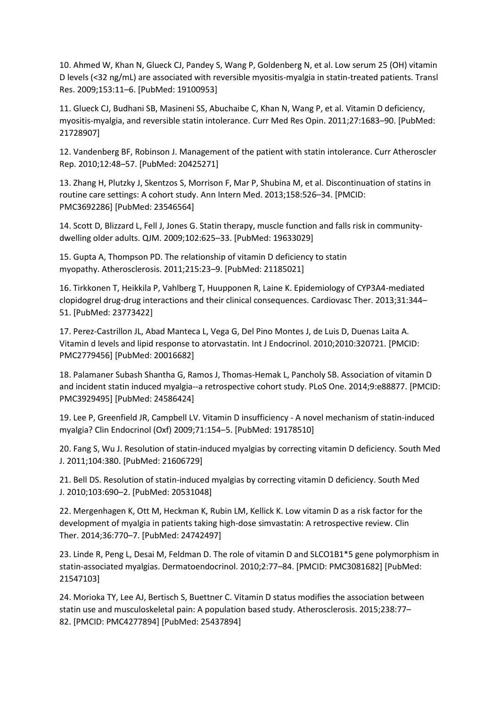10. Ahmed W, Khan N, Glueck CJ, Pandey S, Wang P, Goldenberg N, et al. Low serum 25 (OH) vitamin D levels (<32 ng/mL) are associated with reversible myositis-myalgia in statin-treated patients. Transl Res. 2009;153:11–6. [PubMed: 19100953]

11. Glueck CJ, Budhani SB, Masineni SS, Abuchaibe C, Khan N, Wang P, et al. Vitamin D deficiency, myositis-myalgia, and reversible statin intolerance. Curr Med Res Opin. 2011;27:1683–90. [PubMed: 21728907]

12. Vandenberg BF, Robinson J. Management of the patient with statin intolerance. Curr Atheroscler Rep. 2010;12:48–57. [PubMed: 20425271]

13. Zhang H, Plutzky J, Skentzos S, Morrison F, Mar P, Shubina M, et al. Discontinuation of statins in routine care settings: A cohort study. Ann Intern Med. 2013;158:526–34. [PMCID: PMC3692286] [PubMed: 23546564]

14. Scott D, Blizzard L, Fell J, Jones G. Statin therapy, muscle function and falls risk in communitydwelling older adults. QJM. 2009;102:625–33. [PubMed: 19633029]

15. Gupta A, Thompson PD. The relationship of vitamin D deficiency to statin myopathy. Atherosclerosis. 2011;215:23–9. [PubMed: 21185021]

16. Tirkkonen T, Heikkila P, Vahlberg T, Huupponen R, Laine K. Epidemiology of CYP3A4-mediated clopidogrel drug-drug interactions and their clinical consequences. Cardiovasc Ther. 2013;31:344– 51. [PubMed: 23773422]

17. Perez-Castrillon JL, Abad Manteca L, Vega G, Del Pino Montes J, de Luis D, Duenas Laita A. Vitamin d levels and lipid response to atorvastatin. Int J Endocrinol. 2010;2010:320721. [PMCID: PMC2779456] [PubMed: 20016682]

18. Palamaner Subash Shantha G, Ramos J, Thomas-Hemak L, Pancholy SB. Association of vitamin D and incident statin induced myalgia--a retrospective cohort study. PLoS One. 2014;9:e88877. [PMCID: PMC3929495] [PubMed: 24586424]

19. Lee P, Greenfield JR, Campbell LV. Vitamin D insufficiency - A novel mechanism of statin-induced myalgia? Clin Endocrinol (Oxf) 2009;71:154–5. [PubMed: 19178510]

20. Fang S, Wu J. Resolution of statin-induced myalgias by correcting vitamin D deficiency. South Med J. 2011;104:380. [PubMed: 21606729]

21. Bell DS. Resolution of statin-induced myalgias by correcting vitamin D deficiency. South Med J. 2010;103:690–2. [PubMed: 20531048]

22. Mergenhagen K, Ott M, Heckman K, Rubin LM, Kellick K. Low vitamin D as a risk factor for the development of myalgia in patients taking high-dose simvastatin: A retrospective review. Clin Ther. 2014;36:770–7. [PubMed: 24742497]

23. Linde R, Peng L, Desai M, Feldman D. The role of vitamin D and SLCO1B1\*5 gene polymorphism in statin-associated myalgias. Dermatoendocrinol. 2010;2:77–84. [PMCID: PMC3081682] [PubMed: 21547103]

24. Morioka TY, Lee AJ, Bertisch S, Buettner C. Vitamin D status modifies the association between statin use and musculoskeletal pain: A population based study. Atherosclerosis. 2015;238:77– 82. [PMCID: PMC4277894] [PubMed: 25437894]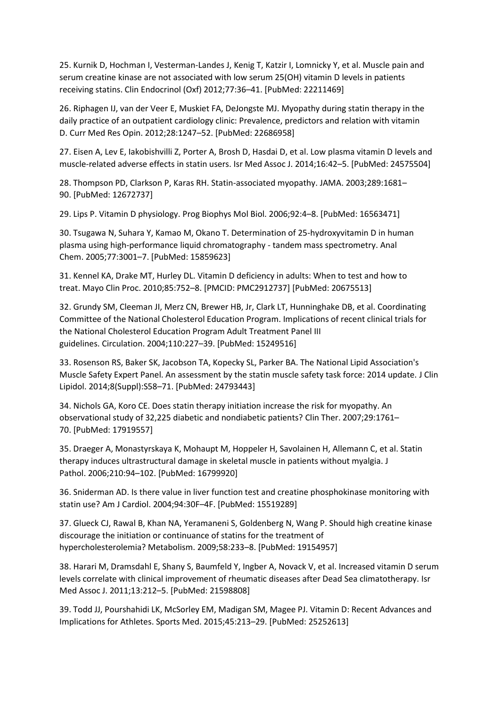25. Kurnik D, Hochman I, Vesterman-Landes J, Kenig T, Katzir I, Lomnicky Y, et al. Muscle pain and serum creatine kinase are not associated with low serum 25(OH) vitamin D levels in patients receiving statins. Clin Endocrinol (Oxf) 2012;77:36–41. [PubMed: 22211469]

26. Riphagen IJ, van der Veer E, Muskiet FA, DeJongste MJ. Myopathy during statin therapy in the daily practice of an outpatient cardiology clinic: Prevalence, predictors and relation with vitamin D. Curr Med Res Opin. 2012;28:1247–52. [PubMed: 22686958]

27. Eisen A, Lev E, Iakobishvilli Z, Porter A, Brosh D, Hasdai D, et al. Low plasma vitamin D levels and muscle-related adverse effects in statin users. Isr Med Assoc J. 2014;16:42–5. [PubMed: 24575504]

28. Thompson PD, Clarkson P, Karas RH. Statin-associated myopathy. JAMA. 2003;289:1681– 90. [PubMed: 12672737]

29. Lips P. Vitamin D physiology. Prog Biophys Mol Biol. 2006;92:4–8. [PubMed: 16563471]

30. Tsugawa N, Suhara Y, Kamao M, Okano T. Determination of 25-hydroxyvitamin D in human plasma using high-performance liquid chromatography - tandem mass spectrometry. Anal Chem. 2005;77:3001–7. [PubMed: 15859623]

31. Kennel KA, Drake MT, Hurley DL. Vitamin D deficiency in adults: When to test and how to treat. Mayo Clin Proc. 2010;85:752–8. [PMCID: PMC2912737] [PubMed: 20675513]

32. Grundy SM, Cleeman JI, Merz CN, Brewer HB, Jr, Clark LT, Hunninghake DB, et al. Coordinating Committee of the National Cholesterol Education Program. Implications of recent clinical trials for the National Cholesterol Education Program Adult Treatment Panel III guidelines. Circulation. 2004;110:227–39. [PubMed: 15249516]

33. Rosenson RS, Baker SK, Jacobson TA, Kopecky SL, Parker BA. The National Lipid Association's Muscle Safety Expert Panel. An assessment by the statin muscle safety task force: 2014 update. J Clin Lipidol. 2014;8(Suppl):S58–71. [PubMed: 24793443]

34. Nichols GA, Koro CE. Does statin therapy initiation increase the risk for myopathy. An observational study of 32,225 diabetic and nondiabetic patients? Clin Ther. 2007;29:1761– 70. [PubMed: 17919557]

35. Draeger A, Monastyrskaya K, Mohaupt M, Hoppeler H, Savolainen H, Allemann C, et al. Statin therapy induces ultrastructural damage in skeletal muscle in patients without myalgia. J Pathol. 2006;210:94–102. [PubMed: 16799920]

36. Sniderman AD. Is there value in liver function test and creatine phosphokinase monitoring with statin use? Am J Cardiol. 2004;94:30F–4F. [PubMed: 15519289]

37. Glueck CJ, Rawal B, Khan NA, Yeramaneni S, Goldenberg N, Wang P. Should high creatine kinase discourage the initiation or continuance of statins for the treatment of hypercholesterolemia? Metabolism. 2009;58:233–8. [PubMed: 19154957]

38. Harari M, Dramsdahl E, Shany S, Baumfeld Y, Ingber A, Novack V, et al. Increased vitamin D serum levels correlate with clinical improvement of rheumatic diseases after Dead Sea climatotherapy. Isr Med Assoc J. 2011;13:212–5. [PubMed: 21598808]

39. Todd JJ, Pourshahidi LK, McSorley EM, Madigan SM, Magee PJ. Vitamin D: Recent Advances and Implications for Athletes. Sports Med. 2015;45:213–29. [PubMed: 25252613]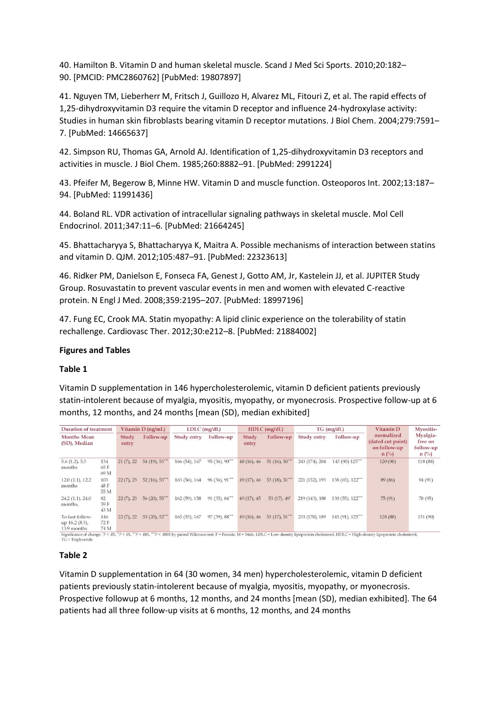40. Hamilton B. Vitamin D and human skeletal muscle. Scand J Med Sci Sports. 2010;20:182– 90. [PMCID: PMC2860762] [PubMed: 19807897]

41. Nguyen TM, Lieberherr M, Fritsch J, Guillozo H, Alvarez ML, Fitouri Z, et al. The rapid effects of 1,25-dihydroxyvitamin D3 require the vitamin D receptor and influence 24-hydroxylase activity: Studies in human skin fibroblasts bearing vitamin D receptor mutations. J Biol Chem. 2004;279:7591– 7. [PubMed: 14665637]

42. Simpson RU, Thomas GA, Arnold AJ. Identification of 1,25-dihydroxyvitamin D3 receptors and activities in muscle. J Biol Chem. 1985;260:8882–91. [PubMed: 2991224]

43. Pfeifer M, Begerow B, Minne HW. Vitamin D and muscle function. Osteoporos Int. 2002;13:187– 94. [PubMed: 11991436]

44. Boland RL. VDR activation of intracellular signaling pathways in skeletal muscle. Mol Cell Endocrinol. 2011;347:11–6. [PubMed: 21664245]

45. Bhattacharyya S, Bhattacharyya K, Maitra A. Possible mechanisms of interaction between statins and vitamin D. QJM. 2012;105:487–91. [PubMed: 22323613]

46. Ridker PM, Danielson E, Fonseca FA, Genest J, Gotto AM, Jr, Kastelein JJ, et al. JUPITER Study Group. Rosuvastatin to prevent vascular events in men and women with elevated C-reactive protein. N Engl J Med. 2008;359:2195–207. [PubMed: 18997196]

47. Fung EC, Crook MA. Statin myopathy: A lipid clinic experience on the tolerability of statin rechallenge. Cardiovasc Ther. 2012;30:e212–8. [PubMed: 21884002]

#### **Figures and Tables**

#### **Table 1**

Vitamin D supplementation in 146 hypercholesterolemic, vitamin D deficient patients previously statin-intolerent because of myalgia, myositis, myopathy, or myonecrosis. Prospective follow-up at 6 months, 12 months, and 24 months [mean (SD), median exhibited]

| Duration of treatment                            |                     | Vitamin D (ng/mL) |               | $LDLC$ (mg/dL)     |                             | $HDLC$ (mg/dL)  |                    | $TG$ (mg/dL)   |                      | Vitamin D                                                                                                                                                                                                   | Myositis-                                          |
|--------------------------------------------------|---------------------|-------------------|---------------|--------------------|-----------------------------|-----------------|--------------------|----------------|----------------------|-------------------------------------------------------------------------------------------------------------------------------------------------------------------------------------------------------------|----------------------------------------------------|
| <b>Months Mean</b><br>(SD), Median               |                     | Study<br>entry    | Follow-up     | <b>Study entry</b> | Follow-up                   | Study<br>entry  | Follow-up          | Study entry    | Follow-up            | normalized<br>(dated cut point)<br>on follow-up<br>$n(^{0}/_{0})$                                                                                                                                           | Myalgia-<br>free on<br>follow-up<br>$n(^{0}/_{0})$ |
| 5.6(1.2), 5.3<br>months                          | 134<br>65 F<br>69 M | 21(7), 22         | 54 (19), 53"" | 166 (54), 167      | $95(36), 90^{***}$          | 48(16), 46      | $51(16)$ , $50'''$ | 243 (174), 204 | 143 (90) 125""       | 120(90)                                                                                                                                                                                                     | 118 (88)                                           |
| 12.0(1.1), 12.2<br>months                        | 103<br>48 F<br>55 M | 22(7), 23         | 52(16), 53    | 163 (56), 164      | $96(36), 91$ <sup>***</sup> | 49(17), 46      | 53(18), 51         | 221 (152), 193 | 138 (65), 122""      | 89 (86)                                                                                                                                                                                                     | 94 (91)                                            |
| 24.2(1.1), 24.0<br>months,                       | 82<br>39 F<br>43 M  | 22(7), 23         | 56(20), 55"   | $162(59)$ , 158    | $91(35), 84$ <sup>***</sup> | 49 (17), 45     | 53 (17), 49        | 219 (143), 188 | $130(55)$ , $122***$ | 75(91)                                                                                                                                                                                                      | 78 (95)                                            |
| To last follow-<br>up 16.2 (8.3),<br>13.9 months | 146<br>72 F<br>74 M | 22(7), 22         | 53 (20), 52"  | 165 (53), 167      | 97(39), 88                  | $49(16)$ , $46$ | 53(17), 51         | 233 (170), 189 | 145 (91), 125""      | 128 (88)                                                                                                                                                                                                    | 131 (90)                                           |
| $TG = Triglyceride$                              |                     |                   |               |                    |                             |                 |                    |                |                      | Significance of change: 'P < .05, "P < .01, ""P < .001, ""P < .0001 by paired Wilcoxon test. F = Female, M = Male, LDLC = Low-density lipoprotein cholesterol, HDLC = High-density lipoprotein cholesterol, |                                                    |

#### **Table 2**

Vitamin D supplementation in 64 (30 women, 34 men) hypercholesterolemic, vitamin D deficient patients previously statin-intolerent because of myalgia, myositis, myopathy, or myonecrosis. Prospective followup at 6 months, 12 months, and 24 months [mean (SD), median exhibited]. The 64 patients had all three follow-up visits at 6 months, 12 months, and 24 months